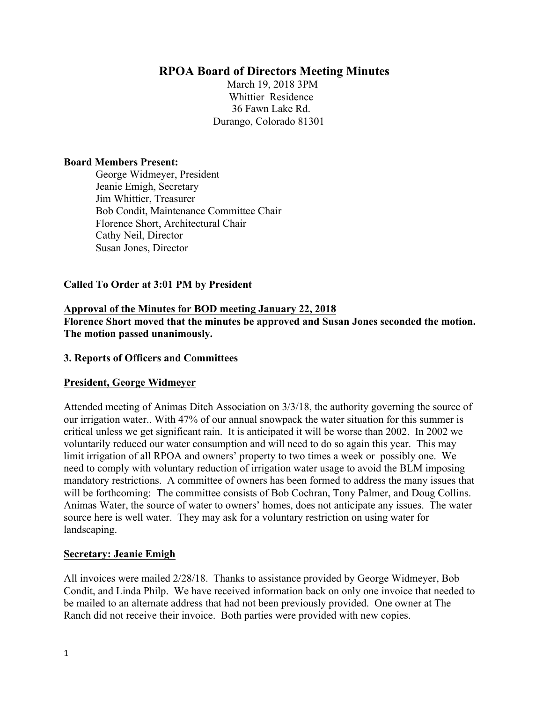# **RPOA Board of Directors Meeting Minutes**

March 19, 2018 3PM Whittier Residence 36 Fawn Lake Rd. Durango, Colorado 81301

#### **Board Members Present:**

George Widmeyer, President Jeanie Emigh, Secretary Jim Whittier, Treasurer Bob Condit, Maintenance Committee Chair Florence Short, Architectural Chair Cathy Neil, Director Susan Jones, Director

### **Called To Order at 3:01 PM by President**

## **Approval of the Minutes for BOD meeting January 22, 2018 Florence Short moved that the minutes be approved and Susan Jones seconded the motion. The motion passed unanimously.**

### **3. Reports of Officers and Committees**

### **President, George Widmeyer**

Attended meeting of Animas Ditch Association on 3/3/18, the authority governing the source of our irrigation water.. With 47% of our annual snowpack the water situation for this summer is critical unless we get significant rain. It is anticipated it will be worse than 2002. In 2002 we voluntarily reduced our water consumption and will need to do so again this year. This may limit irrigation of all RPOA and owners' property to two times a week or possibly one. We need to comply with voluntary reduction of irrigation water usage to avoid the BLM imposing mandatory restrictions. A committee of owners has been formed to address the many issues that will be forthcoming: The committee consists of Bob Cochran, Tony Palmer, and Doug Collins. Animas Water, the source of water to owners' homes, does not anticipate any issues. The water source here is well water. They may ask for a voluntary restriction on using water for landscaping.

### **Secretary: Jeanie Emigh**

All invoices were mailed 2/28/18. Thanks to assistance provided by George Widmeyer, Bob Condit, and Linda Philp. We have received information back on only one invoice that needed to be mailed to an alternate address that had not been previously provided. One owner at The Ranch did not receive their invoice. Both parties were provided with new copies.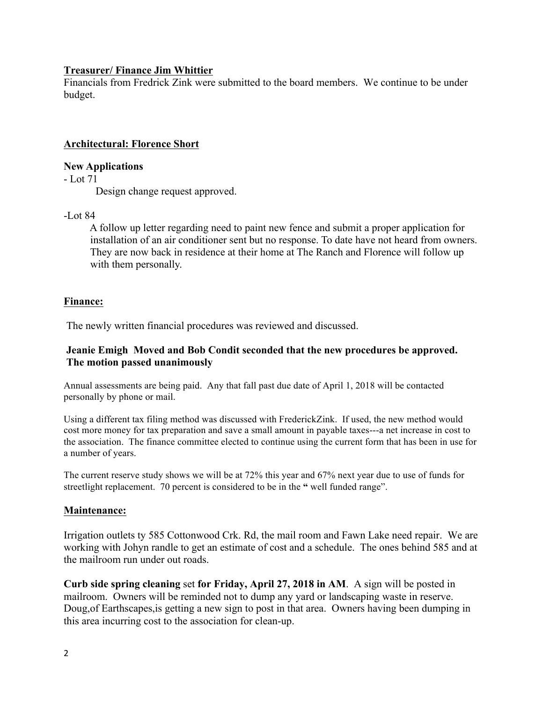## **Treasurer/ Finance Jim Whittier**

Financials from Fredrick Zink were submitted to the board members. We continue to be under budget.

# **Architectural: Florence Short**

### **New Applications**

- Lot 71

Design change request approved.

## -Lot 84

 A follow up letter regarding need to paint new fence and submit a proper application for installation of an air conditioner sent but no response. To date have not heard from owners. They are now back in residence at their home at The Ranch and Florence will follow up with them personally.

# **Finance:**

The newly written financial procedures was reviewed and discussed.

### **Jeanie Emigh Moved and Bob Condit seconded that the new procedures be approved. The motion passed unanimously**

Annual assessments are being paid. Any that fall past due date of April 1, 2018 will be contacted personally by phone or mail.

Using a different tax filing method was discussed with FrederickZink. If used, the new method would cost more money for tax preparation and save a small amount in payable taxes---a net increase in cost to the association. The finance committee elected to continue using the current form that has been in use for a number of years.

The current reserve study shows we will be at 72% this year and 67% next year due to use of funds for streetlight replacement. 70 percent is considered to be in the **"** well funded range".

# **Maintenance:**

Irrigation outlets ty 585 Cottonwood Crk. Rd, the mail room and Fawn Lake need repair. We are working with Johyn randle to get an estimate of cost and a schedule. The ones behind 585 and at the mailroom run under out roads.

**Curb side spring cleaning** set **for Friday, April 27, 2018 in AM**. A sign will be posted in mailroom. Owners will be reminded not to dump any yard or landscaping waste in reserve. Doug,of Earthscapes,is getting a new sign to post in that area. Owners having been dumping in this area incurring cost to the association for clean-up.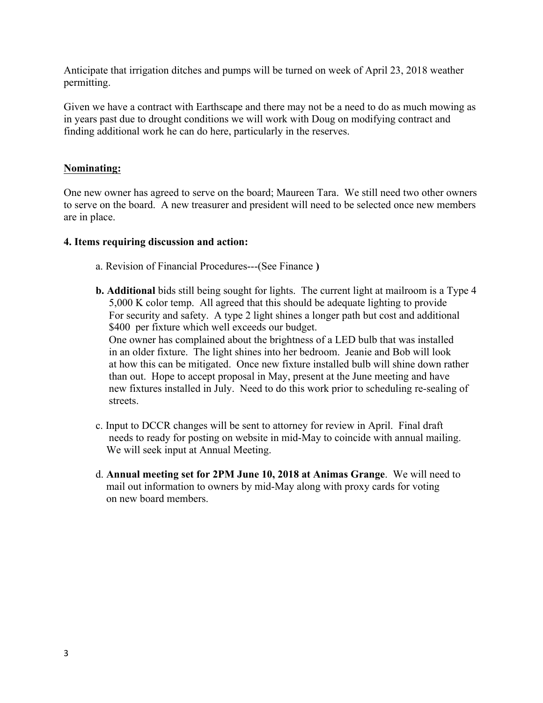Anticipate that irrigation ditches and pumps will be turned on week of April 23, 2018 weather permitting.

Given we have a contract with Earthscape and there may not be a need to do as much mowing as in years past due to drought conditions we will work with Doug on modifying contract and finding additional work he can do here, particularly in the reserves.

## **Nominating:**

One new owner has agreed to serve on the board; Maureen Tara. We still need two other owners to serve on the board. A new treasurer and president will need to be selected once new members are in place.

### **4. Items requiring discussion and action:**

- a. Revision of Financial Procedures---(See Finance **)**
- **b. Additional** bids still being sought for lights. The current light at mailroom is a Type 4 5,000 K color temp. All agreed that this should be adequate lighting to provide For security and safety. A type 2 light shines a longer path but cost and additional \$400 per fixture which well exceeds our budget.

 One owner has complained about the brightness of a LED bulb that was installed in an older fixture. The light shines into her bedroom. Jeanie and Bob will look at how this can be mitigated. Once new fixture installed bulb will shine down rather than out. Hope to accept proposal in May, present at the June meeting and have new fixtures installed in July. Need to do this work prior to scheduling re-sealing of streets.

- c. Input to DCCR changes will be sent to attorney for review in April. Final draft needs to ready for posting on website in mid-May to coincide with annual mailing. We will seek input at Annual Meeting.
- d. **Annual meeting set for 2PM June 10, 2018 at Animas Grange**. We will need to mail out information to owners by mid-May along with proxy cards for voting on new board members.